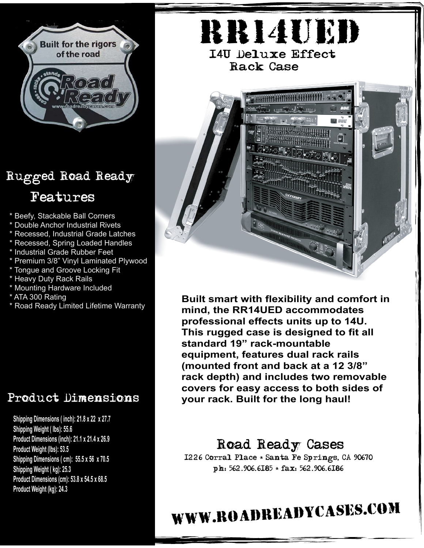

## Rugged Road Ready Features

- \* Beefy, Stackable Ball Corners
- \* Double Anchor Industrial Rivets
- \* Recessed, Industrial Grade Latches
- \* Recessed, Spring Loaded Handles
- \* Industrial Grade Rubber Feet
- \* Premium 3/8" Vinyl Laminated Plywood
- \* Tongue and Groove Locking Fit
- \* Heavy Duty Rack Rails
- **Mounting Hardware Included**
- \* ATA 300 Rating
- \* Road Ready Limited Lifetime Warranty

## Product Dimensions

**7/06 Product Weight (kg): 24.3Shipping Dimensions ( inch): 21.8 x 22 x 27.7 Shipping Weight ( lbs): 55.6 Product Dimensions (inch): 21.1 x 21.4 x 26.9 Product Weight (lbs): 53.5 Shipping Dimensions ( cm): 55.5 x 56 x 70.5 Shipping Weight ( kg): 25.3 Product Dimensions (cm): 53.8 x 54.5 x 68.5**

RR14UED 14U Deluxe Effect Rack Case

> $\ldots$   $\rightarrow$   $\rightarrow$   $\ldots$

> > **D** vùe

**Built smart with flexibility and comfort in mind, the RR14UED accommodates professional effects units up to 14U. This rugged case is designed to fit all standard 19" rack-mountable equipment, features dual rack rails (mounted front and back at a 12 3/8" rack depth) and includes two removable covers for easy access to both sides of your rack. Built for the long haul!**

## Road Ready Cases

1226 Corral Place \* Santa Fe Springs, CA 90670 ph: 562.906.6185 \* fax: 562.906.6186

www.roadreadycases.com